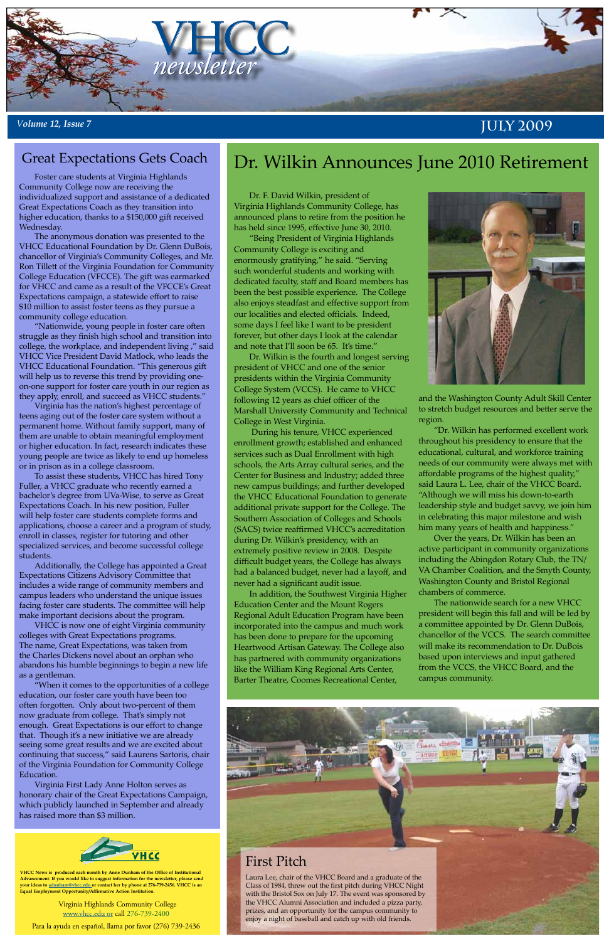Virginia Highlands Community College [www.vhcc.edu or](http://www.vhcc.edu) call 276-739-2400

Para la ayuda en español, llama por favor (276) 739-2436



**VHCC News is produced each month by Anne Dunham of the Office of Institutional Advancement. If you would like to suggest information for the newsletter, please send your ideas to [adunham@vhcc.edu or](mailto:adunham@vhcc.edu) contact her by phone at 276-739-2456. VHCC is an Equal Employment Opportunity/Affirmative Action Institution.**



## *<sup>V</sup>olume 12, Issue 7* **July 2009**

Dr. F. David Wilkin, president of Virginia Highlands Community College, has announced plans to retire from the position he has held since 1995, effective June 30, 2010.

"Being President of Virginia Highlands Community College is exciting and enormously gratifying," he said. "Serving such wonderful students and working with dedicated faculty, staff and Board members has been the best possible experience. The College also enjoys steadfast and effective support from our localities and elected officials. Indeed, some days I feel like I want to be president forever, but other days I look at the calendar and note that I'll soon be 65. It's time."

Dr. Wilkin is the fourth and longest serving president of VHCC and one of the senior presidents within the Virginia Community College System (VCCS). He came to VHCC following 12 years as chief officer of the Marshall University Community and Technical College in West Virginia.

 During his tenure, VHCC experienced enrollment growth; established and enhanced services such as Dual Enrollment with high schools, the Arts Array cultural series, and the Center for Business and Industry; added three new campus buildings; and further developed the VHCC Educational Foundation to generate additional private support for the College. The Southern Association of Colleges and Schools (SACS) twice reaffirmed VHCC's accreditation during Dr. Wilkin's presidency, with an extremely positive review in 2008. Despite difficult budget years, the College has always had a balanced budget, never had a layoff, and never had a significant audit issue.

In addition, the Southwest Virginia Higher Education Center and the Mount Rogers Regional Adult Education Program have been incorporated into the campus and much work has been done to prepare for the upcoming Heartwood Artisan Gateway. The College also has partnered with community organizations like the William King Regional Arts Center, Barter Theatre, Coomes Recreational Center,



and the Washington County Adult Skill Center to stretch budget resources and better serve the region.

"Dr. Wilkin has performed excellent work throughout his presidency to ensure that the educational, cultural, and workforce training needs of our community were always met with affordable programs of the highest quality," said Laura L. Lee, chair of the VHCC Board. "Although we will miss his down-to-earth leadership style and budget savvy, we join him in celebrating this major milestone and wish him many years of health and happiness."

Over the years, Dr. Wilkin has been an active participant in community organizations including the Abingdon Rotary Club, the TN/ VA Chamber Coalition, and the Smyth County, Washington County and Bristol Regional chambers of commerce.

The nationwide search for a new VHCC president will begin this fall and will be led by a committee appointed by Dr. Glenn DuBois, chancellor of the VCCS. The search committee will make its recommendation to Dr. DuBois based upon interviews and input gathered from the VCCS, the VHCC Board, and the campus community.

Foster care students at Virginia Highlands Community College now are receiving the individualized support and assistance of a dedicated Great Expectations Coach as they transition into higher education, thanks to a \$150,000 gift received Wednesday.

The anonymous donation was presented to the VHCC Educational Foundation by Dr. Glenn DuBois, chancellor of Virginia's Community Colleges, and Mr. Ron Tillett of the Virginia Foundation for Community College Education (VFCCE). The gift was earmarked for VHCC and came as a result of the VFCCE's Great Expectations campaign, a statewide effort to raise \$10 million to assist foster teens as they pursue a community college education.

"Nationwide, young people in foster care often struggle as they finish high school and transition into college, the workplace, and independent living ," said VHCC Vice President David Matlock, who leads the VHCC Educational Foundation. "This generous gift will help us to reverse this trend by providing oneon-one support for foster care youth in our region as they apply, enroll, and succeed as VHCC students."

Virginia has the nation's highest percentage of teens aging out of the foster care system without a permanent home. Without family support, many of them are unable to obtain meaningful employment or higher education. In fact, research indicates these young people are twice as likely to end up homeless or in prison as in a college classroom.

To assist these students, VHCC has hired Tony Fuller, a VHCC graduate who recently earned a bachelor's degree from UVa-Wise, to serve as Great Expectations Coach. In his new position, Fuller will help foster care students complete forms and applications, choose a career and a program of study, enroll in classes, register for tutoring and other specialized services, and become successful college students.

Additionally, the College has appointed a Great Expectations Citizens Advisory Committee that includes a wide range of community members and campus leaders who understand the unique issues facing foster care students. The committee will help make important decisions about the program.

VHCC is now one of eight Virginia community colleges with Great Expectations programs. The name, Great Expectations, was taken from the Charles Dickens novel about an orphan who abandons his humble beginnings to begin a new life as a gentleman.

"When it comes to the opportunities of a college

# Great Expectations Gets Coach **Dr. Wilkin Announces June 2010 Retirement**

education, our foster care youth have been too often forgotten. Only about two-percent of them now graduate from college. That's simply not enough. Great Expectations is our effort to change that. Though it's a new initiative we are already seeing some great results and we are excited about continuing that success," said Laurens Sartoris, chair of the Virginia Foundation for Community College Education.

Virginia First Lady Anne Holton serves as honorary chair of the Great Expectations Campaign, which publicly launched in September and already has raised more than \$3 million.



### First Pitch

Laura Lee, chair of the VHCC Board and a graduate of the Class of 1984, threw out the first pitch during VHCC Night with the Bristol Sox on July 17. The event was sponsored by the VHCC Alumni Association and included a pizza party, prizes, and an opportunity for the campus community to enjoy a night of baseball and catch up with old friends.